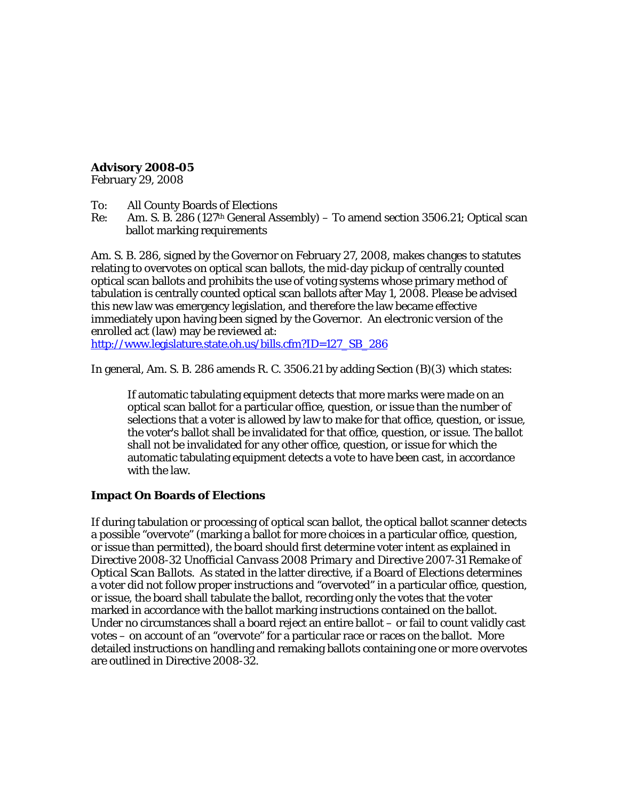## **Advisory 2008-05**

February 29, 2008

To: All County Boards of Elections

Re: Am. S. B. 286 (127th General Assembly) – To amend section 3506.21; Optical scan ballot marking requirements

Am. S. B. 286, signed by the Governor on February 27, 2008, makes changes to statutes relating to overvotes on optical scan ballots, the mid-day pickup of centrally counted optical scan ballots and prohibits the use of voting systems whose primary method of tabulation is centrally counted optical scan ballots after May 1, 2008. Please be advised this new law was emergency legislation, and therefore the law became effective immediately upon having been signed by the Governor. An electronic version of the enrolled act (law) may be reviewed at:

[http://www.legislature.state.oh.us/bills.cfm?ID=127\\_SB\\_286](http://www.legislature.state.oh.us/bills.cfm?ID=127_SB_286)

In general, Am. S. B. 286 amends R. C. 3506.21 by adding Section (B)(3) which states:

If automatic tabulating equipment detects that more marks were made on an optical scan ballot for a particular office, question, or issue than the number of selections that a voter is allowed by law to make for that office, question, or issue, the voter's ballot shall be invalidated for that office, question, or issue. The ballot shall not be invalidated for any other office, question, or issue for which the automatic tabulating equipment detects a vote to have been cast, in accordance with the law.

## **Impact On Boards of Elections**

If during tabulation or processing of optical scan ballot, the optical ballot scanner detects a possible "overvote" (marking a ballot for more choices in a particular office, question, or issue than permitted), the board should first determine voter intent as explained in Directive 2008-32 *Unofficial Canvass 2008 Primary and Directive 2007-31 Remake of Optical Scan Ballots.* As stated in the latter directive, if a Board of Elections determines a voter did not follow proper instructions and "overvoted" in a particular office, question, or issue, the board shall tabulate the ballot, recording only the votes that the voter marked in accordance with the ballot marking instructions contained on the ballot. Under no circumstances shall a board reject an entire ballot – or fail to count validly cast votes – on account of an "overvote" for a particular race or races on the ballot. More detailed instructions on handling and remaking ballots containing one or more overvotes are outlined in Directive 2008-32.